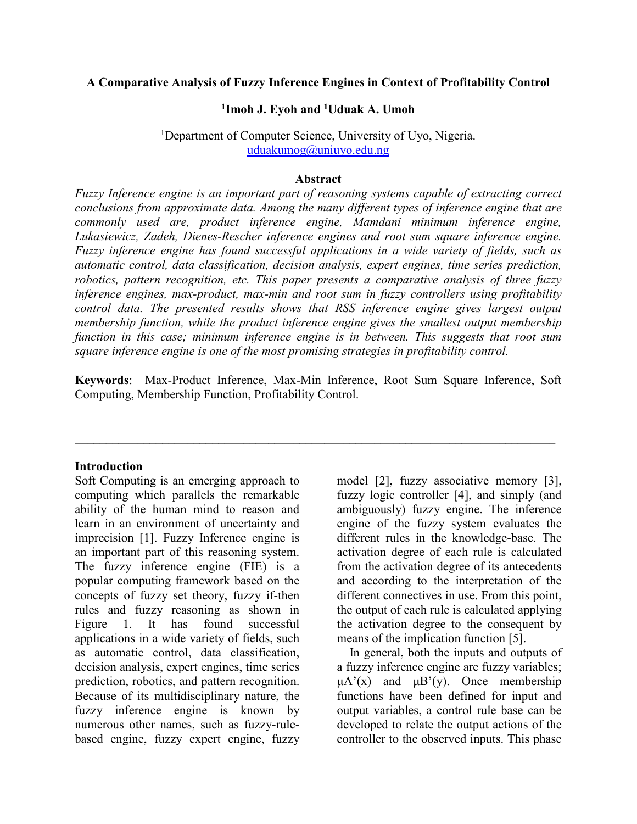## **A Comparative Analysis of Fuzzy Inference Engines in Context of Profitability Control**

# **1 Imoh J. Eyoh and <sup>1</sup>Uduak A. Umoh**

<sup>1</sup>Department of Computer Science, University of Uyo, Nigeria. uduakumog@uniuyo.edu.ng

#### **Abstract**

*Fuzzy Inference engine is an important part of reasoning systems capable of extracting correct conclusions from approximate data. Among the many different types of inference engine that are commonly used are, product inference engine, Mamdani minimum inference engine, Lukasiewicz, Zadeh, Dienes-Rescher inference engines and root sum square inference engine. Fuzzy inference engine has found successful applications in a wide variety of fields, such as automatic control, data classification, decision analysis, expert engines, time series prediction, robotics, pattern recognition, etc. This paper presents a comparative analysis of three fuzzy inference engines, max-product, max-min and root sum in fuzzy controllers using profitability control data. The presented results shows that RSS inference engine gives largest output membership function, while the product inference engine gives the smallest output membership function in this case; minimum inference engine is in between. This suggests that root sum square inference engine is one of the most promising strategies in profitability control.* 

**Keywords**: Max-Product Inference, Max-Min Inference, Root Sum Square Inference, Soft Computing, Membership Function, Profitability Control.

**\_\_\_\_\_\_\_\_\_\_\_\_\_\_\_\_\_\_\_\_\_\_\_\_\_\_\_\_\_\_\_\_\_\_\_\_\_\_\_\_\_\_\_\_\_\_\_\_\_\_\_\_\_\_\_\_\_\_\_\_\_\_\_\_\_\_\_\_\_\_\_\_\_\_\_\_\_** 

#### **Introduction**

Soft Computing is an emerging approach to computing which parallels the remarkable ability of the human mind to reason and learn in an environment of uncertainty and imprecision [1]. Fuzzy Inference engine is an important part of this reasoning system. The fuzzy inference engine (FIE) is a popular computing framework based on the concepts of fuzzy set theory, fuzzy if-then rules and fuzzy reasoning as shown in Figure 1. It has found successful applications in a wide variety of fields, such as automatic control, data classification, decision analysis, expert engines, time series prediction, robotics, and pattern recognition. Because of its multidisciplinary nature, the fuzzy inference engine is known by numerous other names, such as fuzzy-rulebased engine, fuzzy expert engine, fuzzy model [2], fuzzy associative memory [3], fuzzy logic controller [4], and simply (and ambiguously) fuzzy engine. The inference engine of the fuzzy system evaluates the different rules in the knowledge-base. The activation degree of each rule is calculated from the activation degree of its antecedents and according to the interpretation of the different connectives in use. From this point, the output of each rule is calculated applying the activation degree to the consequent by means of the implication function [5].

 In general, both the inputs and outputs of a fuzzy inference engine are fuzzy variables;  $\mu A'(x)$  and  $\mu B'(y)$ . Once membership functions have been defined for input and output variables, a control rule base can be developed to relate the output actions of the controller to the observed inputs. This phase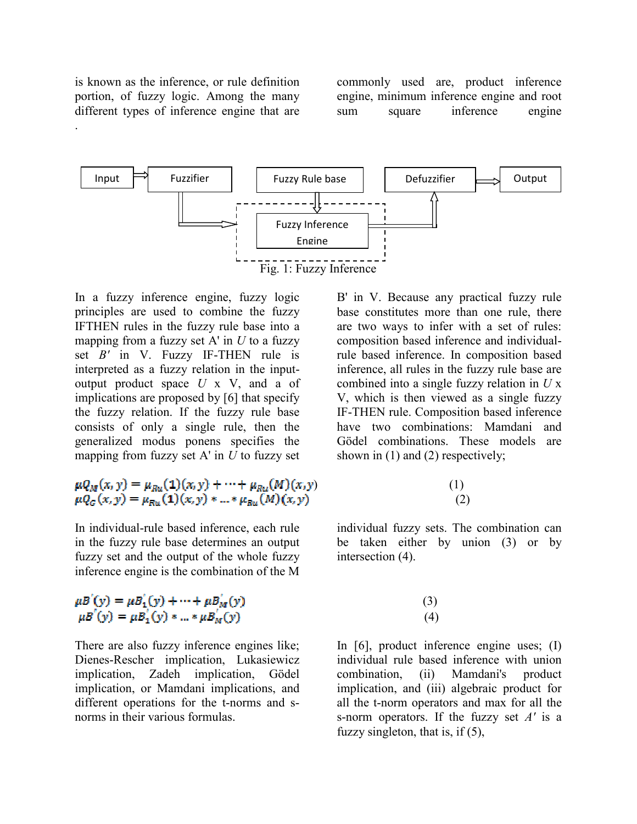is known as the inference, or rule definition portion, of fuzzy logic. Among the many different types of inference engine that are

.

commonly used are, product inference engine, minimum inference engine and root sum square inference engine



In a fuzzy inference engine, fuzzy logic principles are used to combine the fuzzy IFTHEN rules in the fuzzy rule base into a mapping from a fuzzy set A' in *U* to a fuzzy set *B'* in V. Fuzzy IF-THEN rule is interpreted as a fuzzy relation in the inputoutput product space *U* x V, and a of implications are proposed by [6] that specify the fuzzy relation. If the fuzzy rule base consists of only a single rule, then the generalized modus ponens specifies the mapping from fuzzy set A' in *U* to fuzzy set

$$
\mu Q_M(x, y) = \mu_{Ru}(1)(x, y) + \dots + \mu_{Ru}(M)(x, y)
$$
  

$$
\mu Q_G(x, y) = \mu_{Ru}(1)(x, y) * ... * \mu_{Ru}(M)(x, y)
$$

In individual-rule based inference, each rule in the fuzzy rule base determines an output fuzzy set and the output of the whole fuzzy inference engine is the combination of the M

$$
\mu B'(y) = \mu B'_1(y) + \dots + \mu B'_M(y) \n \mu B'(y) = \mu B'_1(y) * ... * \mu B'_M(y)
$$

There are also fuzzy inference engines like; Dienes-Rescher implication, Lukasiewicz implication, Zadeh implication, Gödel implication, or Mamdani implications, and different operations for the t-norms and snorms in their various formulas.

B' in V. Because any practical fuzzy rule base constitutes more than one rule, there are two ways to infer with a set of rules: composition based inference and individualrule based inference. In composition based inference, all rules in the fuzzy rule base are combined into a single fuzzy relation in *U* x V, which is then viewed as a single fuzzy IF-THEN rule. Composition based inference have two combinations: Mamdani and Gödel combinations. These models are shown in (1) and (2) respectively;

## ) (1)  $(2)$

individual fuzzy sets. The combination can be taken either by union (3) or by intersection (4).

# (3) (4)

In [6], product inference engine uses; (I) individual rule based inference with union combination, (ii) Mamdani's product implication, and (iii) algebraic product for all the t-norm operators and max for all the s-norm operators. If the fuzzy set *A'* is a fuzzy singleton, that is, if (5),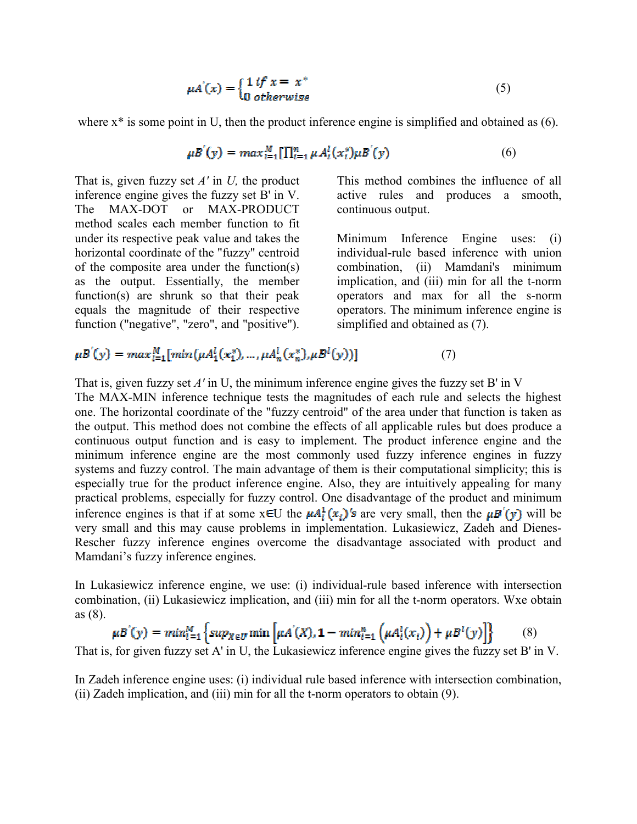$$
\mu A'(x) = \begin{cases} 1 \text{ if } x = x^* \\ 0 \text{ otherwise} \end{cases}
$$
 (5)

where  $x^*$  is some point in U, then the product inference engine is simplified and obtained as  $(6)$ .

$$
\mu B'(y) = \max_{i=1}^{M} [\prod_{i=1}^{n} \mu A_i^l(x_i^*) \mu B'(y) \tag{6}
$$

That is, given fuzzy set *A'* in *U,* the product inference engine gives the fuzzy set B' in V. The MAX-DOT or MAX-PRODUCT method scales each member function to fit under its respective peak value and takes the horizontal coordinate of the "fuzzy" centroid of the composite area under the function(s) as the output. Essentially, the member function(s) are shrunk so that their peak equals the magnitude of their respective function ("negative", "zero", and "positive"). This method combines the influence of all active rules and produces a smooth, continuous output.

Minimum Inference Engine uses: (i) individual-rule based inference with union combination, (ii) Mamdani's minimum implication, and (iii) min for all the t-norm operators and max for all the s-norm operators. The minimum inference engine is simplified and obtained as (7).

$$
\mu B'(y) = \max_{i=1}^{M} [\min(\mu A_1^l(x_1^*), \dots, \mu A_n^l(x_n^*), \mu B^l(y))]
$$
(7)

That is, given fuzzy set *A'* in U, the minimum inference engine gives the fuzzy set B' in V The MAX-MIN inference technique tests the magnitudes of each rule and selects the highest one. The horizontal coordinate of the "fuzzy centroid" of the area under that function is taken as the output. This method does not combine the effects of all applicable rules but does produce a continuous output function and is easy to implement. The product inference engine and the minimum inference engine are the most commonly used fuzzy inference engines in fuzzy systems and fuzzy control. The main advantage of them is their computational simplicity; this is especially true for the product inference engine. Also, they are intuitively appealing for many practical problems, especially for fuzzy control. One disadvantage of the product and minimum inference engines is that if at some  $x \in U$  the  $\mu A_i^1(x)$ 's are very small, then the  $\mu B'(y)$  will be very small and this may cause problems in implementation. Lukasiewicz, Zadeh and Dienes-Rescher fuzzy inference engines overcome the disadvantage associated with product and Mamdani's fuzzy inference engines.

In Lukasiewicz inference engine, we use: (i) individual-rule based inference with intersection combination, (ii) Lukasiewicz implication, and (iii) min for all the t-norm operators. Wxe obtain as (8).

$$
\mu B'(y) = min_{i=1}^{M} \left\{ sup_{X \in U} \min \left[ \mu A'(X), \mathbf{1} - min_{i=1}^{n} \left( \mu A_i^{i}(x_i) \right) + \mu B^{i}(y) \right] \right\}
$$
(8)

That is, for given fuzzy set A' in U, the Lukasiewicz inference engine gives the fuzzy set B' in V.

In Zadeh inference engine uses: (i) individual rule based inference with intersection combination, (ii) Zadeh implication, and (iii) min for all the t-norm operators to obtain (9).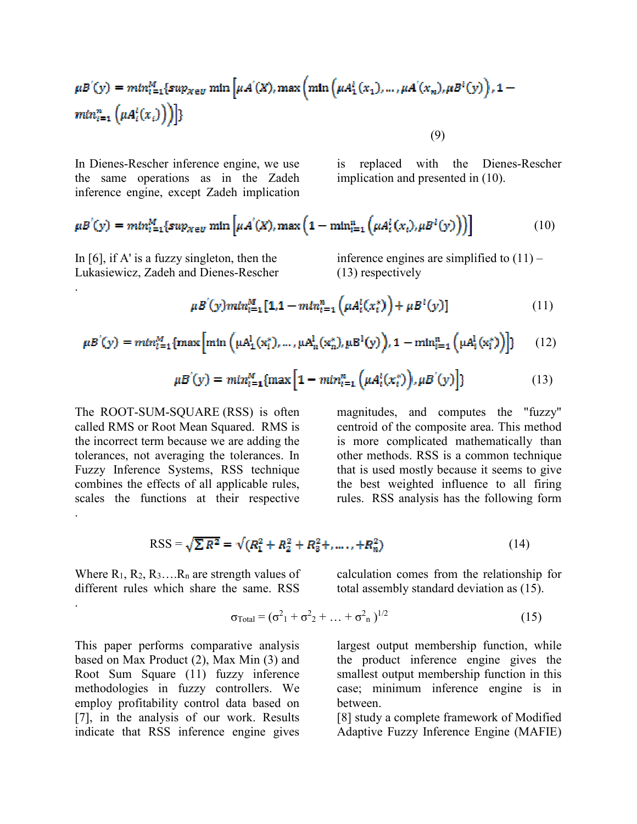$$
\mu B'(y) = min_{i=1}^{M} \{ sup_{X \in U} \min \left[ \mu A'(X), \max \left( \min \left( \mu A_1^{i}(x_1), \dots, \mu A'(x_n), \mu B^{i}(y) \right), 1 - \min_{i=1}^{n} \left( \mu A_i^{i}(x_i) \right) \right) \} \}
$$

(9)

In Dienes-Rescher inference engine, we use the same operations as in the Zadeh inference engine, except Zadeh implication

is replaced with the Dienes-Rescher implication and presented in (10).

$$
\mu B'(y) = \min_{l=1}^{M} \{ \sup_{X \in U} \min \left[ \mu A'(X), \max \left( 1 - \min_{i=1}^{n} \left( \mu A_i^l(x_i), \mu B^l(y) \right) \right) \right] \tag{10}
$$

In [6], if A' is a fuzzy singleton, then the Lukasiewicz, Zadeh and Dienes-Rescher

.

.

inference engines are simplified to  $(11)$  – (13) respectively

**College** 

$$
\mu B'(y) \min_{i=1}^{M} [1, 1 - \min_{i=1}^{n} \left( \mu A_i^l(x_i^*) \right) + \mu B^l(y)] \tag{11}
$$

$$
\mu B'(y) = \min_{i=1}^{M} \{ \max \left[ \min \left( \mu A_1^1(x_i^*), \dots, \mu A_n^1(x_n^*), \mu B^1(y) \right), 1 - \min_{i=1}^{n} \left( \mu A_i^1(x_i^*) \right) \right] \} \tag{12}
$$

$$
\mu B'(y) = \min_{i=1}^{M} \{ \max \left[ 1 - \min_{i=1}^{n} \left( \mu A_i^l(x_i^*) \right), \mu B'(y) \right] \} \tag{13}
$$

The ROOT-SUM-SQUARE (RSS) is often called RMS or Root Mean Squared. RMS is the incorrect term because we are adding the tolerances, not averaging the tolerances. In Fuzzy Inference Systems, RSS technique combines the effects of all applicable rules, scales the functions at their respective .

magnitudes, and computes the "fuzzy" centroid of the composite area. This method is more complicated mathematically than other methods. RSS is a common technique that is used mostly because it seems to give the best weighted influence to all firing rules. RSS analysis has the following form

$$
RSS = \sqrt{\sum R^2} = \sqrt{(R_1^2 + R_2^2 + R_3^2 + \dots, + R_n^2)}
$$
(14)

Where  $R_1, R_2, R_3, \ldots, R_n$  are strength values of different rules which share the same. RSS

calculation comes from the relationship for total assembly standard deviation as  $(15)$ .

$$
\sigma_{\text{Total}} = (\sigma^2_1 + \sigma^2_2 + \dots + \sigma^2_n)^{1/2} \tag{15}
$$

This paper performs comparative analysis based on Max Product (2), Max Min (3) and Root Sum Square (11) fuzzy inference methodologies in fuzzy controllers. We employ profitability control data based on [7], in the analysis of our work. Results indicate that RSS inference engine gives

largest output membership function, while the product inference engine gives the smallest output membership function in this case; minimum inference engine is in between.

[8] study a complete framework of Modified Adaptive Fuzzy Inference Engine (MAFIE)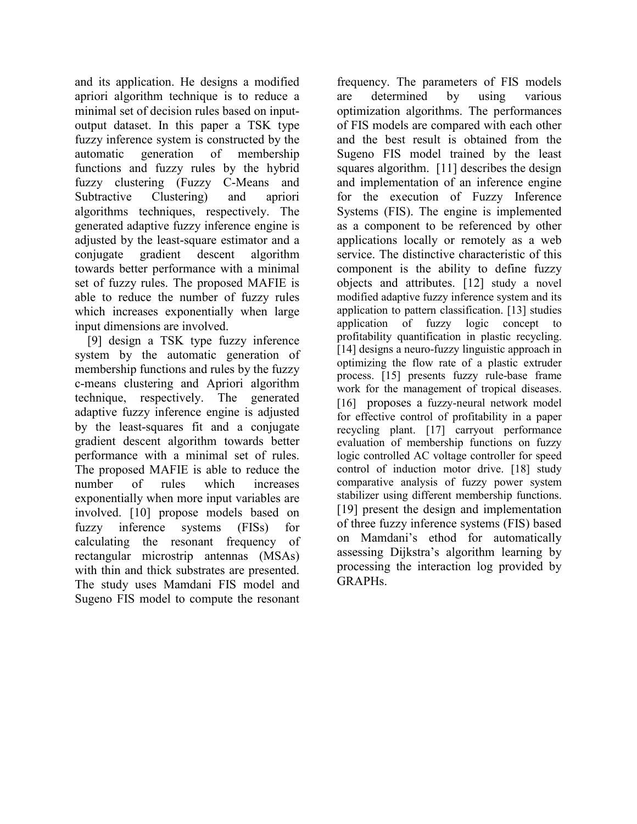and its application. He designs a modified apriori algorithm technique is to reduce a minimal set of decision rules based on inputoutput dataset. In this paper a TSK type fuzzy inference system is constructed by the automatic generation of membership functions and fuzzy rules by the hybrid fuzzy clustering (Fuzzy C-Means and Subtractive Clustering) and apriori algorithms techniques, respectively. The generated adaptive fuzzy inference engine is adjusted by the least-square estimator and a conjugate gradient descent algorithm towards better performance with a minimal set of fuzzy rules. The proposed MAFIE is able to reduce the number of fuzzy rules which increases exponentially when large input dimensions are involved.

 [9] design a TSK type fuzzy inference system by the automatic generation of membership functions and rules by the fuzzy c-means clustering and Apriori algorithm technique, respectively. The generated adaptive fuzzy inference engine is adjusted by the least-squares fit and a conjugate gradient descent algorithm towards better performance with a minimal set of rules. The proposed MAFIE is able to reduce the number of rules which increases exponentially when more input variables are involved. [10] propose models based on fuzzy inference systems (FISs) for calculating the resonant frequency of rectangular microstrip antennas (MSAs) with thin and thick substrates are presented. The study uses Mamdani FIS model and Sugeno FIS model to compute the resonant

frequency. The parameters of FIS models are determined by using various optimization algorithms. The performances of FIS models are compared with each other and the best result is obtained from the Sugeno FIS model trained by the least squares algorithm. [11] describes the design and implementation of an inference engine for the execution of Fuzzy Inference Systems (FIS). The engine is implemented as a component to be referenced by other applications locally or remotely as a web service. The distinctive characteristic of this component is the ability to define fuzzy objects and attributes. [12] study a novel modified adaptive fuzzy inference system and its application to pattern classification. [13] studies application of fuzzy logic concept to profitability quantification in plastic recycling. [14] designs a neuro-fuzzy linguistic approach in optimizing the flow rate of a plastic extruder process. [15] presents fuzzy rule-base frame work for the management of tropical diseases. [16] proposes a fuzzy-neural network model for effective control of profitability in a paper recycling plant. [17] carryout performance evaluation of membership functions on fuzzy logic controlled AC voltage controller for speed control of induction motor drive. [18] study comparative analysis of fuzzy power system stabilizer using different membership functions. [19] present the design and implementation of three fuzzy inference systems (FIS) based on Mamdani's ethod for automatically assessing Dijkstra's algorithm learning by processing the interaction log provided by GRAPHs.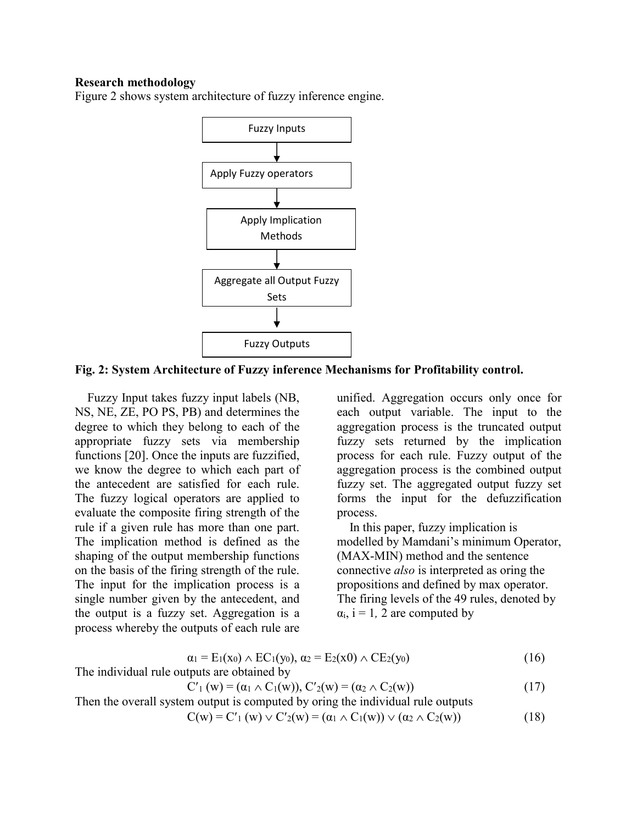#### **Research methodology**

Figure 2 shows system architecture of fuzzy inference engine.



#### **Fig. 2: System Architecture of Fuzzy inference Mechanisms for Profitability control.**

 Fuzzy Input takes fuzzy input labels (NB, NS, NE, ZE, PO PS, PB) and determines the degree to which they belong to each of the appropriate fuzzy sets via membership functions [20]. Once the inputs are fuzzified, we know the degree to which each part of the antecedent are satisfied for each rule. The fuzzy logical operators are applied to evaluate the composite firing strength of the rule if a given rule has more than one part. The implication method is defined as the shaping of the output membership functions on the basis of the firing strength of the rule. The input for the implication process is a single number given by the antecedent, and the output is a fuzzy set. Aggregation is a process whereby the outputs of each rule are

unified. Aggregation occurs only once for each output variable. The input to the aggregation process is the truncated output fuzzy sets returned by the implication process for each rule. Fuzzy output of the aggregation process is the combined output fuzzy set. The aggregated output fuzzy set forms the input for the defuzzification process.

 In this paper, fuzzy implication is modelled by Mamdani's minimum Operator, (MAX-MIN) method and the sentence connective *also* is interpreted as oring the propositions and defined by max operator. The firing levels of the 49 rules, denoted by  $\alpha_i$ , i = 1, 2 are computed by

$$
\alpha_1 = E_1(x_0) \wedge EC_1(y_0), \alpha_2 = E_2(x_0) \wedge CE_2(y_0)
$$
\nThe individual rule outputs are obtained by

\n
$$
(16)
$$

$$
C'_{1}(w) = (\alpha_{1} \wedge C_{1}(w)), C'_{2}(w) = (\alpha_{2} \wedge C_{2}(w))
$$
\n(17)

Then the overall system output is computed by oring the individual rule outputs

$$
C(w) = C'_{1}(w) \vee C'_{2}(w) = (\alpha_{1} \wedge C_{1}(w)) \vee (\alpha_{2} \wedge C_{2}(w))
$$
\n(18)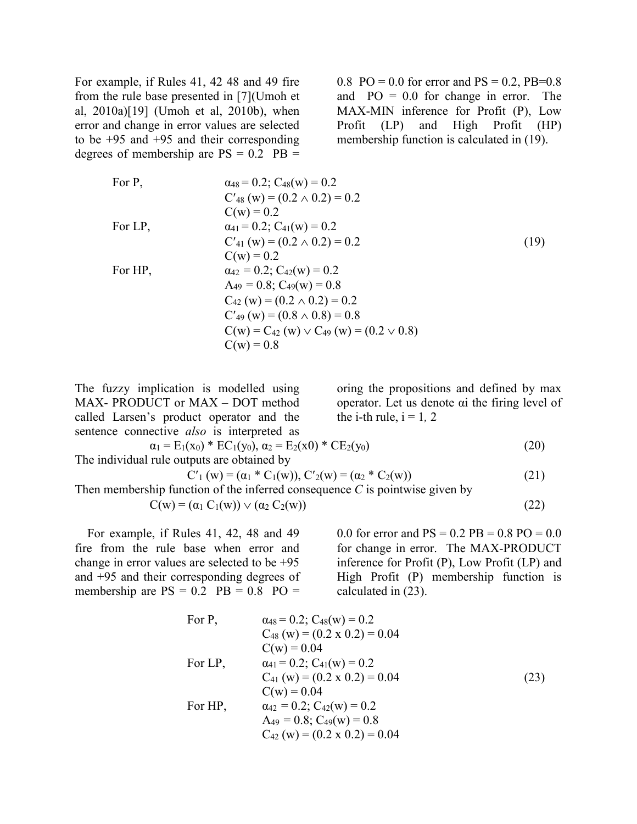For example, if Rules 41, 42 48 and 49 fire from the rule base presented in [7](Umoh et al, 2010a)[19] (Umoh et al, 2010b), when error and change in error values are selected to be  $+95$  and  $+95$  and their corresponding degrees of membership are  $PS = 0.2$   $PB =$ 

0.8 PO = 0.0 for error and  $PS = 0.2$ , PB=0.8 and  $PO = 0.0$  for change in error. The MAX-MIN inference for Profit (P), Low Profit (LP) and High Profit (HP) membership function is calculated in (19).

For P,  
\n
$$
\begin{aligned}\n\alpha_{48} &= 0.2; C_{48}(w) = 0.2\\
C'_{48}(w) &= (0.2 \land 0.2) = 0.2\\
C(w) &= 0.2\\
C(w) &= 0.2\\
C'_{41}(w) &= (0.2 \land 0.2) = 0.2\\
C(w) &= 0.2\\
C(w) &= 0.2\n\end{aligned}
$$
\nFor HP,  
\n $\begin{aligned}\n\alpha_{42} &= 0.2; C_{42}(w) = 0.2\\
\alpha_{42} &= 0.2; C_{42}(w) = 0.2\\
A_{49} &= 0.8; C_{49}(w) = 0.8\\
C_{42}(w) &= (0.2 \land 0.2) = 0.2\\
C'_{49}(w) &= (0.8 \land 0.8) = 0.8\\
C(w) &= C_{42}(w) \lor C_{49}(w) = (0.2 \lor 0.8)\\
C(w) &= 0.8\n\end{aligned}$ \n(19)

The fuzzy implication is modelled using MAX- PRODUCT or MAX – DOT method called Larsen's product operator and the sentence connective *also* is interpreted as

oring the propositions and defined by max operator. Let us denote αi the firing level of the i-th rule,  $i = 1, 2$ 

$$
\alpha_1 = E_1(x_0) * EC_1(y_0), \alpha_2 = E_2(x_0) * CE_2(y_0)
$$
\n
$$
\text{The individual rule outputs are obtained by}
$$
\n
$$
C'_1(w) = (\alpha_1 * C_1(w)), C'_2(w) = (\alpha_2 * C_2(w))
$$
\n
$$
(21)
$$

Then membership function of the inferred consequence *C* is pointwise given by  $C(w) = (\alpha_1 C_1(w)) \vee (\alpha_2 C_2(w))$  (22)

 For example, if Rules 41, 42, 48 and 49 fire from the rule base when error and change in error values are selected to be +95 and +95 and their corresponding degrees of membership are  $PS = 0.2$   $PB = 0.8$   $PO =$ 

0.0 for error and  $PS = 0.2 PB = 0.8 PO = 0.0$ for change in error. The MAX-PRODUCT inference for Profit (P), Low Profit (LP) and High Profit (P) membership function is calculated in (23).

For P,  $\alpha_{48} = 0.2$ ;  $C_{48}(w) = 0.2$  $C_{48}$  (w) = (0.2 x 0.2) = 0.04  $C(w) = 0.04$ For LP,  $\alpha_{41} = 0.2$ ;  $C_{41}(w) = 0.2$  $C_{41}$  (w) = (0.2 x 0.2) = 0.04 (23)  $C(w) = 0.04$ For HP,  $\alpha_{42} = 0.2$ ;  $C_{42}(w) = 0.2$  $A_{49} = 0.8$ ;  $C_{49}(w) = 0.8$  $C_{42}$  (w) = (0.2 x 0.2) = 0.04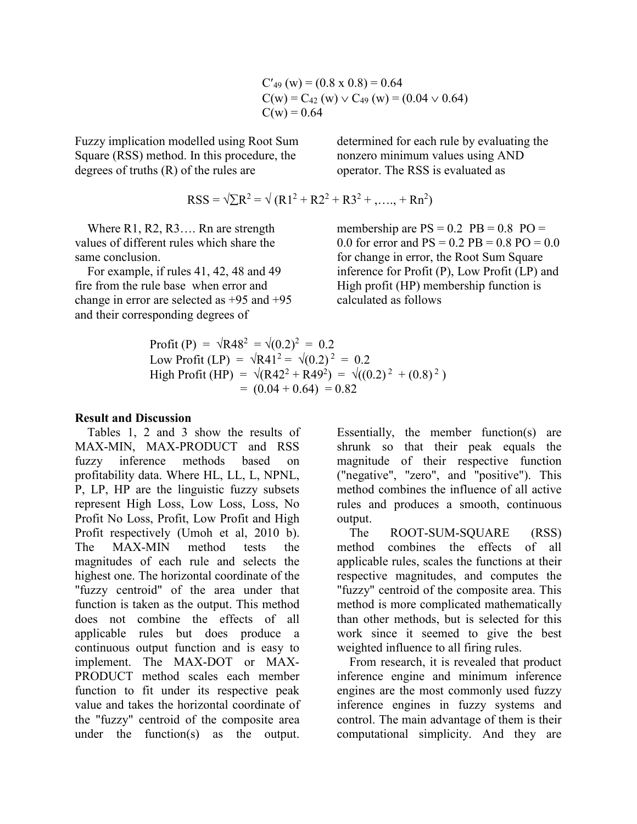$C'_{49}$  (w) = (0.8 x 0.8) = 0.64  $C(w) = C_{42} (w) \vee C_{49} (w) = (0.04 \vee 0.64)$  $C(w) = 0.64$ 

Fuzzy implication modelled using Root Sum Square (RSS) method. In this procedure, the degrees of truths (R) of the rules are

nonzero minimum values using AND operator. The RSS is evaluated as

determined for each rule by evaluating the

$$
RSS = \sqrt{\sum R^2} = \sqrt{(R1^2 + R2^2 + R3^2 + \dots + Rn^2)}
$$

Where R1, R2, R3.... Rn are strength values of different rules which share the same conclusion.

 For example, if rules 41, 42, 48 and 49 fire from the rule base when error and change in error are selected as +95 and +95 and their corresponding degrees of

membership are  $PS = 0.2$   $PB = 0.8$   $PO =$ 0.0 for error and  $PS = 0.2 PB = 0.8 PO = 0.0$ for change in error, the Root Sum Square inference for Profit (P), Low Profit (LP) and High profit (HP) membership function is calculated as follows

Profit (P) = 
$$
\sqrt{R48^2} = \sqrt{(0.2)^2} = 0.2
$$
  
\nLow Profit (LP) =  $\sqrt{R41^2} = \sqrt{(0.2)^2} = 0.2$   
\nHigh Profit (HP) =  $\sqrt{(R42^2 + R49^2)} = \sqrt{((0.2)^2 + (0.8)^2)}$   
\n= (0.04 + 0.64) = 0.82

## **Result and Discussion**

 Tables 1, 2 and 3 show the results of MAX-MIN, MAX-PRODUCT and RSS fuzzy inference methods based on profitability data. Where HL, LL, L, NPNL, P, LP, HP are the linguistic fuzzy subsets represent High Loss, Low Loss, Loss, No Profit No Loss, Profit, Low Profit and High Profit respectively (Umoh et al, 2010 b). The MAX-MIN method tests the magnitudes of each rule and selects the highest one. The horizontal coordinate of the "fuzzy centroid" of the area under that function is taken as the output. This method does not combine the effects of all applicable rules but does produce a continuous output function and is easy to implement. The MAX-DOT or MAX-PRODUCT method scales each member function to fit under its respective peak value and takes the horizontal coordinate of the "fuzzy" centroid of the composite area under the function(s) as the output.

Essentially, the member function(s) are shrunk so that their peak equals the magnitude of their respective function ("negative", "zero", and "positive"). This method combines the influence of all active rules and produces a smooth, continuous output.

 The ROOT-SUM-SQUARE (RSS) method combines the effects of all applicable rules, scales the functions at their respective magnitudes, and computes the "fuzzy" centroid of the composite area. This method is more complicated mathematically than other methods, but is selected for this work since it seemed to give the best weighted influence to all firing rules.

 From research, it is revealed that product inference engine and minimum inference engines are the most commonly used fuzzy inference engines in fuzzy systems and control. The main advantage of them is their computational simplicity. And they are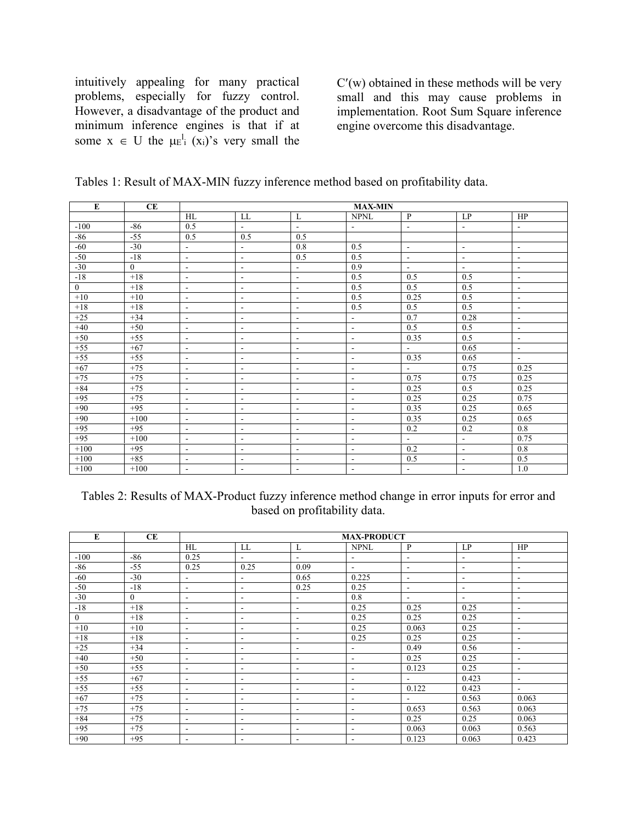intuitively appealing for many practical problems, especially for fuzzy control. However, a disadvantage of the product and minimum inference engines is that if at some  $x \in U$  the  $\mu E_i^l(x_i)$ 's very small the

C′(w) obtained in these methods will be very small and this may cause problems in implementation. Root Sum Square inference engine overcome this disadvantage.

| Tables 1: Result of MAX-MIN fuzzy inference method based on profitability data. |  |  |
|---------------------------------------------------------------------------------|--|--|
|---------------------------------------------------------------------------------|--|--|

| E              | CE             | <b>MAX-MIN</b>           |                          |                          |                          |                          |                          |                          |
|----------------|----------------|--------------------------|--------------------------|--------------------------|--------------------------|--------------------------|--------------------------|--------------------------|
|                |                | HL                       | LL                       | L                        | <b>NPNL</b>              | $\mathbf{P}$             | LP                       | HP                       |
| $-100$         | $-86$          | 0.5                      | $\blacksquare$           | $\blacksquare$           | $\blacksquare$           | $\overline{\phantom{a}}$ | $\overline{\phantom{a}}$ | $\overline{\phantom{a}}$ |
| -86            | $-55$          | 0.5                      | 0.5                      | 0.5                      |                          |                          |                          |                          |
| $-60$          | $-30$          | $\sim$                   | $\blacksquare$           | 0.8                      | 0.5                      | $\overline{\phantom{a}}$ | $\blacksquare$           | $\blacksquare$           |
| $-50$          | $-18$          | $\sim$                   | $\overline{\phantom{a}}$ | 0.5                      | 0.5                      | $\blacksquare$           | $\blacksquare$           | $\overline{\phantom{a}}$ |
| $-30$          | $\overline{0}$ | $\blacksquare$           | $\blacksquare$           | $\overline{\phantom{a}}$ | 0.9                      | $\overline{\phantom{a}}$ | $\blacksquare$           | $\overline{\phantom{a}}$ |
| $-18$          | $+18$          | $\blacksquare$           | $\blacksquare$           | $\blacksquare$           | 0.5                      | 0.5                      | 0.5                      | $\overline{\phantom{a}}$ |
| $\overline{0}$ | $+18$          | $\blacksquare$           | $\overline{\phantom{a}}$ | $\blacksquare$           | 0.5                      | 0.5                      | 0.5                      | $\frac{1}{2}$            |
| $+10$          | $+10$          | $\sim$                   | $\blacksquare$           | $\blacksquare$           | 0.5                      | 0.25                     | 0.5                      | $\overline{\phantom{a}}$ |
| $+18$          | $+18$          | $\mathbf{r}$             | $\overline{\phantom{a}}$ | $\overline{\phantom{a}}$ | 0.5                      | 0.5                      | 0.5                      | $\overline{\phantom{a}}$ |
| $+25$          | $+34$          | $\overline{\phantom{a}}$ | $\blacksquare$           | $\overline{\phantom{a}}$ | $\sim$                   | 0.7                      | 0.28                     | $\overline{\phantom{a}}$ |
| $+40$          | $+50$          | $\blacksquare$           | $\blacksquare$           | $\blacksquare$           | $\sim$                   | 0.5                      | 0.5                      | $\overline{\phantom{a}}$ |
| $+50$          | $+55$          | $\sim$                   | $\blacksquare$           | $\blacksquare$           | $\sim$                   | 0.35                     | 0.5                      | $\overline{\phantom{a}}$ |
| $+55$          | $+67$          | $\blacksquare$           | $\blacksquare$           | $\blacksquare$           | $\blacksquare$           | $\blacksquare$           | 0.65                     | $\overline{\phantom{a}}$ |
| $+55$          | $+55$          | $\overline{\phantom{a}}$ | $\blacksquare$           | $\blacksquare$           | $\overline{\phantom{a}}$ | 0.35                     | 0.65                     | $\blacksquare$           |
| $+67$          | $+75$          | $\blacksquare$           | $\blacksquare$           | $\blacksquare$           | $\overline{\phantom{a}}$ | $\blacksquare$           | 0.75                     | 0.25                     |
| $+75$          | $+75$          | $\overline{\phantom{a}}$ | $\overline{\phantom{a}}$ | $\blacksquare$           | $\overline{\phantom{a}}$ | 0.75                     | 0.75                     | 0.25                     |
| $+84$          | $+75$          | $\sim$                   | $\overline{\phantom{a}}$ | $\blacksquare$           | $\sim$                   | 0.25                     | 0.5                      | 0.25                     |
| $+95$          | $+75$          | $\blacksquare$           | $\blacksquare$           | $\blacksquare$           | $\blacksquare$           | 0.25                     | 0.25                     | 0.75                     |
| $+90$          | $+95$          | $\blacksquare$           | $\overline{\phantom{a}}$ | $\blacksquare$           | $\overline{\phantom{a}}$ | 0.35                     | 0.25                     | 0.65                     |
| $+90$          | $+100$         | $\blacksquare$           | $\blacksquare$           | $\blacksquare$           | $\blacksquare$           | 0.35                     | 0.25                     | 0.65                     |
| $+95$          | $+95$          | $\blacksquare$           | $\blacksquare$           | $\blacksquare$           | $\sim$                   | 0.2                      | 0.2                      | 0.8                      |
| $+95$          | $+100$         | $\blacksquare$           | $\blacksquare$           | $\blacksquare$           | $\blacksquare$           | $\overline{\phantom{a}}$ | $\blacksquare$           | 0.75                     |
| $+100$         | $+95$          | $\blacksquare$           | $\overline{\phantom{a}}$ | $\blacksquare$           | $\sim$                   | 0.2                      | $\overline{\phantom{a}}$ | 0.8                      |
| $+100$         | $+85$          | $\blacksquare$           | $\blacksquare$           | $\blacksquare$           | $\blacksquare$           | 0.5                      | $\blacksquare$           | 0.5                      |
| $+100$         | $+100$         | $\blacksquare$           | $\overline{\phantom{a}}$ | $\blacksquare$           | $\sim$                   | $\blacksquare$           | $\blacksquare$           | 1.0                      |

Tables 2: Results of MAX-Product fuzzy inference method change in error inputs for error and based on profitability data.

| E              | CE       | <b>MAX-PRODUCT</b>       |        |                          |                          |                          |                          |                          |
|----------------|----------|--------------------------|--------|--------------------------|--------------------------|--------------------------|--------------------------|--------------------------|
|                |          | HL                       | LL     | L                        | <b>NPNL</b>              | P                        | LP                       | HP                       |
| $-100$         | $-86$    | 0.25                     | $\sim$ | $\overline{\phantom{0}}$ | $\overline{\phantom{a}}$ | $\overline{\phantom{a}}$ | $\overline{\phantom{a}}$ | $\overline{\phantom{a}}$ |
| -86            | $-55$    | 0.25                     | 0.25   | 0.09                     | $\overline{\phantom{a}}$ | $\overline{\phantom{a}}$ | $\overline{\phantom{a}}$ | $\overline{\phantom{a}}$ |
| $-60$          | $-30$    | $\sim$                   | $\sim$ | 0.65                     | 0.225                    | $\overline{\phantom{a}}$ | $\overline{\phantom{a}}$ | $\overline{\phantom{a}}$ |
| $-50$          | $-18$    | $\blacksquare$           | ۰      | 0.25                     | 0.25                     | $\overline{\phantom{a}}$ | $\overline{\phantom{a}}$ | $\overline{\phantom{a}}$ |
| $-30$          | $\theta$ | $\overline{\phantom{a}}$ | -      | $\overline{\phantom{a}}$ | 0.8                      | $\overline{\phantom{a}}$ | $\overline{\phantom{a}}$ | $\overline{\phantom{a}}$ |
| $-18$          | $+18$    | $\blacksquare$           | ۰      | $\overline{\phantom{a}}$ | 0.25                     | 0.25                     | 0.25                     | $\overline{\phantom{a}}$ |
| $\overline{0}$ | $+18$    | $\overline{\phantom{a}}$ | -      | $\sim$                   | 0.25                     | 0.25                     | 0.25                     | ٠                        |
| $+10$          | $+10$    | $\overline{\phantom{a}}$ | ۰      | $\overline{\phantom{a}}$ | 0.25                     | 0.063                    | 0.25                     | $\overline{\phantom{a}}$ |
| $+18$          | $+18$    | $\overline{\phantom{a}}$ | -      | $\overline{\phantom{a}}$ | 0.25                     | 0.25                     | 0.25                     | $\overline{\phantom{a}}$ |
| $+25$          | $+34$    | $\overline{\phantom{a}}$ | ۰      | $\overline{\phantom{a}}$ | $\overline{\phantom{a}}$ | 0.49                     | 0.56                     | $\overline{\phantom{a}}$ |
| $+40$          | $+50$    | $\overline{\phantom{a}}$ | ۰      | -                        | $\overline{\phantom{a}}$ | 0.25                     | 0.25                     | $\overline{\phantom{0}}$ |
| $+50$          | $+55$    | $\overline{\phantom{a}}$ | ۰      | $\overline{\phantom{0}}$ | $\overline{\phantom{a}}$ | 0.123                    | 0.25                     | $\overline{\phantom{a}}$ |
| $+55$          | $+67$    | $\overline{\phantom{a}}$ | ۰      | $\overline{\phantom{a}}$ | $\overline{\phantom{a}}$ | $\blacksquare$           | 0.423                    | $\overline{\phantom{a}}$ |
| $+55$          | $+55$    | $\overline{\phantom{a}}$ | -      | $\overline{\phantom{a}}$ | $\overline{\phantom{a}}$ | 0.122                    | 0.423                    | $\overline{\phantom{a}}$ |
| $+67$          | $+75$    | $\overline{\phantom{a}}$ | ۰      | ۰                        | $\overline{\phantom{a}}$ | $\sim$                   | 0.563                    | 0.063                    |
| $+75$          | $+75$    | $\overline{\phantom{a}}$ | ۰      | $\overline{\phantom{a}}$ | $\overline{\phantom{a}}$ | 0.653                    | 0.563                    | 0.063                    |
| $+84$          | $+75$    | $\blacksquare$           | ٠      | $\blacksquare$           | $\overline{\phantom{a}}$ | 0.25                     | 0.25                     | 0.063                    |
| $+95$          | $+75$    | $\overline{\phantom{a}}$ | ۰      | $\overline{\phantom{a}}$ | $\overline{\phantom{a}}$ | 0.063                    | 0.063                    | 0.563                    |
| $+90$          | $+95$    | $\overline{\phantom{a}}$ | -      | ٠                        | $\overline{\phantom{a}}$ | 0.123                    | 0.063                    | 0.423                    |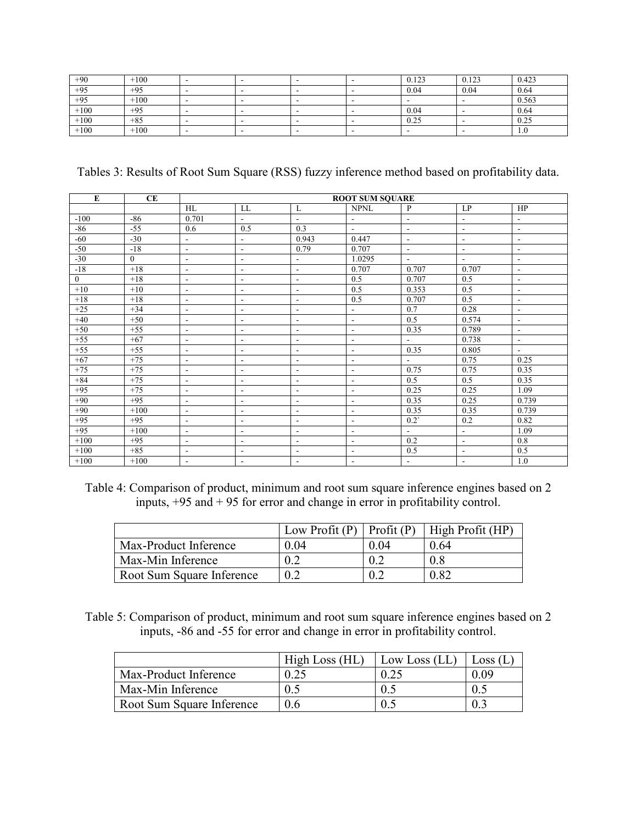| $+90$  | $+100$ | - | $\overline{\phantom{0}}$ | . .                      | 0.123                    | 0.123 | 0.423 |
|--------|--------|---|--------------------------|--------------------------|--------------------------|-------|-------|
| $+95$  | $+95$  |   | -                        |                          | 0.04                     | 0.04  | 0.64  |
| $+95$  | $+100$ | - |                          |                          |                          |       | 0.563 |
| $+100$ | $+95$  | - |                          | . .                      | 0.04                     |       | 0.64  |
| $+100$ | $+85$  |   | -                        |                          | 0.25                     |       | 0.25  |
| $+100$ | $+100$ | - | $\overline{\phantom{0}}$ | $\overline{\phantom{a}}$ | $\overline{\phantom{a}}$ | . .   | 1.0   |

Tables 3: Results of Root Sum Square (RSS) fuzzy inference method based on profitability data.

| ${\bf E}$    | CE             |                          | <b>ROOT SUM SQUARE</b>       |                          |                          |                          |                          |                          |
|--------------|----------------|--------------------------|------------------------------|--------------------------|--------------------------|--------------------------|--------------------------|--------------------------|
|              |                | HL                       | LL                           | L                        | <b>NPNL</b>              | P                        | LP                       | HP                       |
| $-100$       | $-86$          | 0.701                    | $\blacksquare$               | $\blacksquare$           | $\blacksquare$           | $\blacksquare$           | $\blacksquare$           | $\overline{\phantom{a}}$ |
| $-86$        | $-55$          | 0.6                      | 0.5                          | 0.3                      | $\sim$                   | $\blacksquare$           | $\blacksquare$           | $\overline{\phantom{a}}$ |
| $-60$        | $-30$          | $\blacksquare$           | $\qquad \qquad \blacksquare$ | 0.943                    | 0.447                    | $\blacksquare$           | $\overline{\phantom{a}}$ | $\overline{\phantom{a}}$ |
| $-50$        | $-18$          | $\blacksquare$           | $\blacksquare$               | 0.79                     | 0.707                    | $\blacksquare$           | $\blacksquare$           | $\blacksquare$           |
| $-30$        | $\overline{0}$ | $\blacksquare$           | $\blacksquare$               | $\overline{\phantom{a}}$ | 1.0295                   | $\sim$                   | $\sim$                   | $\blacksquare$           |
| $-18$        | $+18$          | $\sim$                   | $\overline{\phantom{a}}$     | $\blacksquare$           | 0.707                    | 0.707                    | 0.707                    | $\overline{\phantom{a}}$ |
| $\mathbf{0}$ | $+18$          | $\overline{\phantom{a}}$ | $\overline{\phantom{a}}$     | $\overline{\phantom{a}}$ | 0.5                      | 0.707                    | 0.5                      | $\overline{\phantom{a}}$ |
| $+10$        | $+10$          | $\sim$                   | $\overline{\phantom{a}}$     | $\blacksquare$           | 0.5                      | 0.353                    | 0.5                      | $\overline{\phantom{a}}$ |
| $+18$        | $+18$          | $\blacksquare$           | $\overline{\phantom{m}}$     | $\overline{\phantom{a}}$ | 0.5                      | 0.707                    | 0.5                      | $\overline{\phantom{a}}$ |
| $+25$        | $+34$          | $\sim$                   | $\overline{\phantom{a}}$     | $\blacksquare$           | $\overline{\phantom{a}}$ | 0.7                      | 0.28                     | $\overline{\phantom{a}}$ |
| $+40$        | $+50$          | $\overline{\phantom{a}}$ | $\overline{\phantom{a}}$     | $\overline{\phantom{a}}$ | $\overline{\phantom{a}}$ | 0.5                      | 0.574                    | $\overline{\phantom{a}}$ |
| $+50$        | $+55$          | $\blacksquare$           | $\blacksquare$               | $\blacksquare$           | $\overline{\phantom{a}}$ | 0.35                     | 0.789                    | $\blacksquare$           |
| $+55$        | $+67$          | $\blacksquare$           | $\overline{\phantom{a}}$     | $\blacksquare$           | $\blacksquare$           | $\sim$                   | 0.738                    | $\overline{\phantom{a}}$ |
| $+55$        | $+55$          | $\overline{\phantom{a}}$ | $\overline{\phantom{a}}$     | $\overline{\phantom{a}}$ | $\overline{\phantom{a}}$ | 0.35                     | 0.805                    | $\blacksquare$           |
| $+67$        | $+75$          | $\overline{\phantom{a}}$ | $\overline{\phantom{a}}$     | $\overline{\phantom{a}}$ | $\blacksquare$           | $\overline{\phantom{a}}$ | 0.75                     | 0.25                     |
| $+75$        | $+75$          | $\blacksquare$           | $\overline{\phantom{a}}$     | $\blacksquare$           | $\blacksquare$           | 0.75                     | 0.75                     | 0.35                     |
| $+84$        | $+75$          | $\blacksquare$           | $\overline{\phantom{m}}$     | $\overline{\phantom{a}}$ | $\overline{a}$           | 0.5                      | 0.5                      | 0.35                     |
| $+95$        | $+75$          | $\overline{\phantom{a}}$ | $\overline{\phantom{a}}$     | $\blacksquare$           | $\blacksquare$           | 0.25                     | 0.25                     | 1.09                     |
| $+90$        | $+95$          | $\blacksquare$           | $\overline{\phantom{a}}$     | $\overline{\phantom{a}}$ | $\overline{\phantom{a}}$ | 0.35                     | 0.25                     | 0.739                    |
| $+90$        | $+100$         | $\blacksquare$           | $\overline{\phantom{a}}$     | $\blacksquare$           | $\overline{\phantom{a}}$ | 0.35                     | 0.35                     | 0.739                    |
| $+95$        | $+95$          | $\overline{\phantom{a}}$ | $\overline{\phantom{a}}$     | $\overline{\phantom{a}}$ | $\overline{a}$           | $0.2^{\circ}$            | 0.2                      | 0.82                     |
| $+95$        | $+100$         | $\overline{\phantom{a}}$ | ٠                            | $\blacksquare$           | $\overline{\phantom{a}}$ | $\sim$                   | $\blacksquare$           | 1.09                     |
| $+100$       | $+95$          | $\blacksquare$           | $\overline{\phantom{a}}$     | $\blacksquare$           | $\blacksquare$           | 0.2                      | $\sim$                   | 0.8                      |
| $+100$       | $+85$          | $\overline{\phantom{a}}$ | $\overline{\phantom{a}}$     | $\blacksquare$           | $\overline{\phantom{a}}$ | 0.5                      | $\blacksquare$           | 0.5                      |
| $+100$       | $+100$         | $\overline{\phantom{0}}$ | $\overline{\phantom{a}}$     | $\blacksquare$           | $\overline{\phantom{a}}$ | $\blacksquare$           | $\overline{\phantom{a}}$ | 1.0                      |

Table 4: Comparison of product, minimum and root sum square inference engines based on 2 inputs, +95 and + 95 for error and change in error in profitability control.

|                           |      |      | Low Profit $(P)$ Profit $(P)$ High Profit $(HP)$ |
|---------------------------|------|------|--------------------------------------------------|
| Max-Product Inference     | 0.04 | 0.04 | 0.64                                             |
| Max-Min Inference         | 02   |      | 08                                               |
| Root Sum Square Inference | 0.2  |      | 0.82                                             |

Table 5: Comparison of product, minimum and root sum square inference engines based on 2 inputs, -86 and -55 for error and change in error in profitability control.

|                           | High Loss (HL) | Low Loss $(LL)$ | Loss (L |
|---------------------------|----------------|-----------------|---------|
| Max-Product Inference     | 0.25           | 0.25            | 0 09    |
| Max-Min Inference         | 0.5            |                 |         |
| Root Sum Square Inference | 0.6            |                 |         |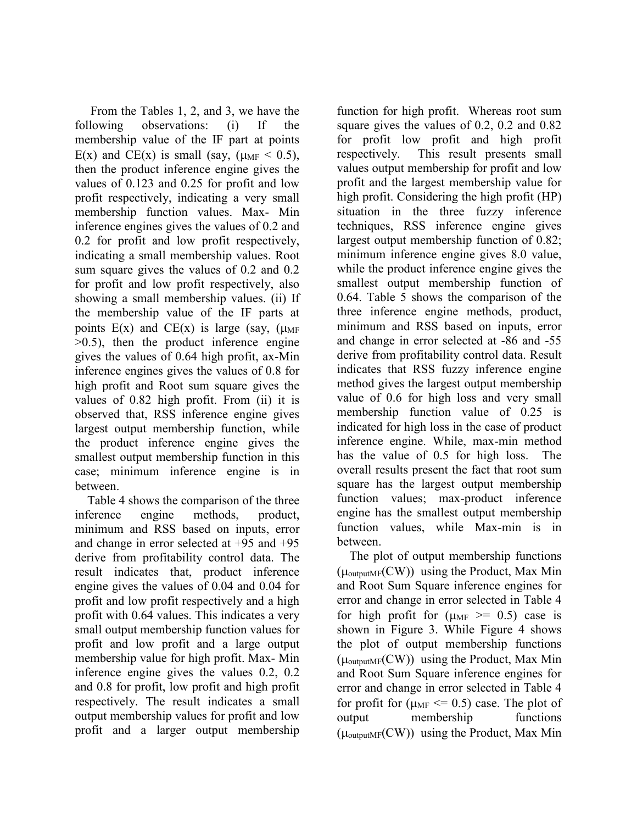From the Tables 1, 2, and 3, we have the following observations: (i) If the membership value of the IF part at points E(x) and CE(x) is small (say,  $(\mu_{MF} < 0.5)$ , then the product inference engine gives the values of 0.123 and 0.25 for profit and low profit respectively, indicating a very small membership function values. Max- Min inference engines gives the values of 0.2 and 0.2 for profit and low profit respectively, indicating a small membership values. Root sum square gives the values of 0.2 and 0.2 for profit and low profit respectively, also showing a small membership values. (ii) If the membership value of the IF parts at points  $E(x)$  and  $CE(x)$  is large (say, ( $\mu_{MF}$ )  $>0.5$ ), then the product inference engine gives the values of 0.64 high profit, ax-Min inference engines gives the values of 0.8 for high profit and Root sum square gives the values of 0.82 high profit. From (ii) it is observed that, RSS inference engine gives largest output membership function, while the product inference engine gives the smallest output membership function in this case; minimum inference engine is in between.

 Table 4 shows the comparison of the three inference engine methods, product, minimum and RSS based on inputs, error and change in error selected at +95 and +95 derive from profitability control data. The result indicates that, product inference engine gives the values of 0.04 and 0.04 for profit and low profit respectively and a high profit with 0.64 values. This indicates a very small output membership function values for profit and low profit and a large output membership value for high profit. Max- Min inference engine gives the values 0.2, 0.2 and 0.8 for profit, low profit and high profit respectively. The result indicates a small output membership values for profit and low profit and a larger output membership

function for high profit. Whereas root sum square gives the values of 0.2, 0.2 and 0.82 for profit low profit and high profit respectively. This result presents small values output membership for profit and low profit and the largest membership value for high profit. Considering the high profit (HP) situation in the three fuzzy inference techniques, RSS inference engine gives largest output membership function of 0.82; minimum inference engine gives 8.0 value, while the product inference engine gives the smallest output membership function of 0.64. Table 5 shows the comparison of the three inference engine methods, product, minimum and RSS based on inputs, error and change in error selected at -86 and -55 derive from profitability control data. Result indicates that RSS fuzzy inference engine method gives the largest output membership value of 0.6 for high loss and very small membership function value of 0.25 is indicated for high loss in the case of product inference engine. While, max-min method has the value of 0.5 for high loss. The overall results present the fact that root sum square has the largest output membership function values; max-product inference engine has the smallest output membership function values, while Max-min is in between.

 The plot of output membership functions  $(\mu_{\text{outputMF}}(CW))$  using the Product, Max Min and Root Sum Square inference engines for error and change in error selected in Table 4 for high profit for  $(\mu_{MF} \ge 0.5)$  case is shown in Figure 3. While Figure 4 shows the plot of output membership functions  $(\mu_{\text{outputMF}}(CW))$  using the Product, Max Min and Root Sum Square inference engines for error and change in error selected in Table 4 for profit for  $(\mu_{MF} \le 0.5)$  case. The plot of output membership functions  $(\mu_{\text{outputMF}}(CW))$  using the Product, Max Min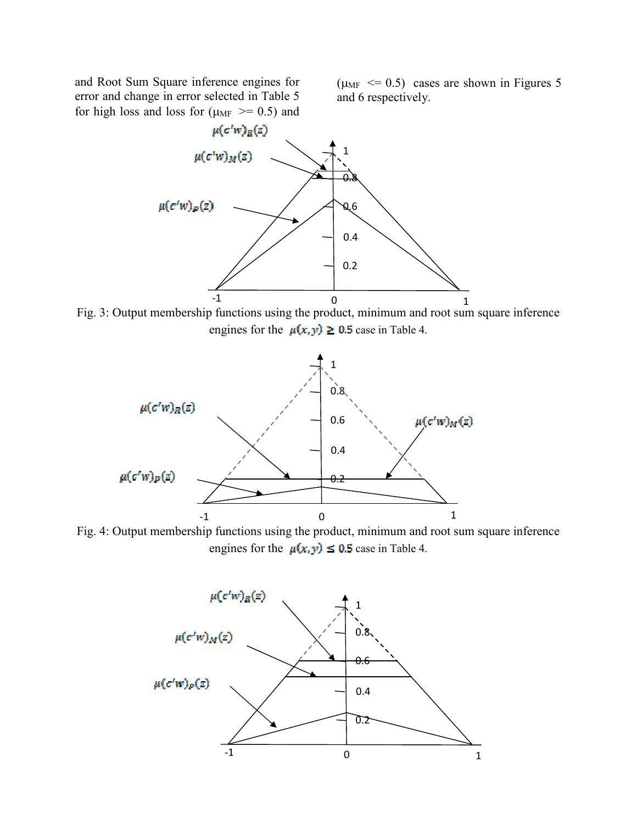and Root Sum Square inference engines for error and change in error selected in Table 5 for high loss and loss for ( $\mu_{MF}$  >= 0.5) and  $(\mu_{MF} \leq 0.5)$  cases are shown in Figures 5 and 6 respectively.



Fig. 3: Output membership functions using the product, minimum and root sum square inference engines for the  $\mu(x, y) \ge 0.5$  case in Table 4.



Fig. 4: Output membership functions using the product, minimum and root sum square inference engines for the  $\mu(x, y) \le 0.5$  case in Table 4.

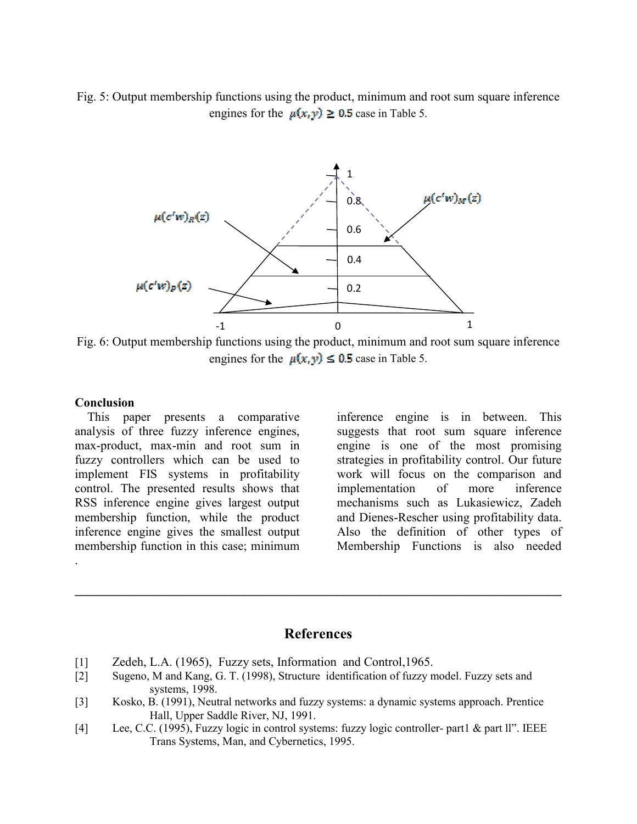Fig. 5: Output membership functions using the product, minimum and root sum square inference engines for the  $\mu(x, y) \ge 0.5$  case in Table 5.



Fig. 6: Output membership functions using the product, minimum and root sum square inference engines for the  $\mu(x, y) \leq 0.5$  case in Table 5.

#### **Conclusion**

.

 This paper presents a comparative analysis of three fuzzy inference engines, max-product, max-min and root sum in fuzzy controllers which can be used to implement FIS systems in profitability control. The presented results shows that RSS inference engine gives largest output membership function, while the product inference engine gives the smallest output membership function in this case; minimum

inference engine is in between. This suggests that root sum square inference engine is one of the most promising strategies in profitability control. Our future work will focus on the comparison and implementation of more inference mechanisms such as Lukasiewicz, Zadeh and Dienes-Rescher using profitability data. Also the definition of other types of Membership Functions is also needed

# **References**

**\_\_\_\_\_\_\_\_\_\_\_\_\_\_\_\_\_\_\_\_\_\_\_\_\_\_\_\_\_\_\_\_\_\_\_\_\_\_\_\_\_\_\_\_\_\_\_\_\_\_\_\_\_\_\_\_\_\_\_\_\_\_\_\_\_\_\_\_\_\_\_\_\_\_\_\_\_\_** 

- [1] Zedeh, L.A. (1965), Fuzzy sets, Information and Control, 1965.
- [2] Sugeno, M and Kang, G. T. (1998), Structure identification of fuzzy model. Fuzzy sets and systems, 1998.
- [3] Kosko, B. (1991), Neutral networks and fuzzy systems: a dynamic systems approach. Prentice Hall, Upper Saddle River, NJ, 1991.
- [4] Lee, C.C. (1995), Fuzzy logic in control systems: fuzzy logic controller- part1 & part ll". IEEE Trans Systems, Man, and Cybernetics, 1995.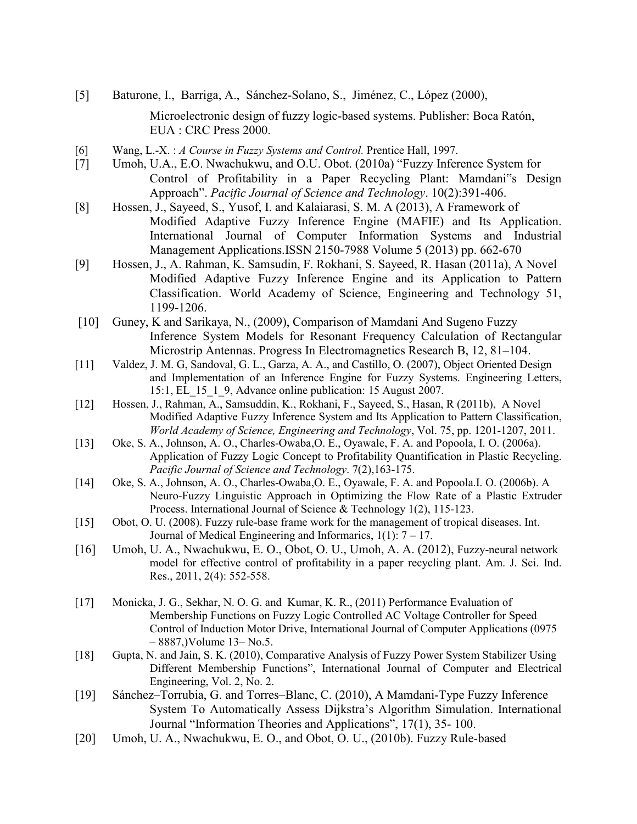- [5] Baturone, I., Barriga, A., Sánchez-Solano, S., Jiménez, C., López (2000), Microelectronic design of fuzzy logic-based systems. Publisher: Boca Ratón, EUA : CRC Press 2000.
- [6] Wang, L.-X. : *A Course in Fuzzy Systems and Control.* Prentice Hall, 1997.
- [7] Umoh, U.A., E.O. Nwachukwu, and O.U. Obot. (2010a) "Fuzzy Inference System for Control of Profitability in a Paper Recycling Plant: Mamdani"s Design Approach". *Pacific Journal of Science and Technology*. 10(2):391-406.
- [8] Hossen, J., Sayeed, S., Yusof, I. and Kalaiarasi, S. M. A (2013), A Framework of Modified Adaptive Fuzzy Inference Engine (MAFIE) and Its Application. International Journal of Computer Information Systems and Industrial Management Applications.ISSN 2150-7988 Volume 5 (2013) pp. 662-670
- [9] Hossen, J., A. Rahman, K. Samsudin, F. Rokhani, S. Sayeed, R. Hasan (2011a), A Novel Modified Adaptive Fuzzy Inference Engine and its Application to Pattern Classification. World Academy of Science, Engineering and Technology 51, 1199-1206.
- [10] Guney, K and Sarikaya, N., (2009), Comparison of Mamdani And Sugeno Fuzzy Inference System Models for Resonant Frequency Calculation of Rectangular Microstrip Antennas. Progress In Electromagnetics Research B, 12, 81–104.
- [11] Valdez, J. M. G, Sandoval, G. L., Garza, A. A., and Castillo, O. (2007), Object Oriented Design and Implementation of an Inference Engine for Fuzzy Systems. Engineering Letters, 15:1, EL\_15\_1\_9, Advance online publication: 15 August 2007.
- [12] Hossen, J., Rahman, A., Samsuddin, K., Rokhani, F., Sayeed, S., Hasan, R (2011b), A Novel Modified Adaptive Fuzzy Inference System and Its Application to Pattern Classification, *World Academy of Science, Engineering and Technology*, Vol. 75, pp. 1201-1207, 2011.
- [13] Oke, S. A., Johnson, A. O., Charles-Owaba, O. E., Oyawale, F. A. and Popoola, I. O. (2006a). Application of Fuzzy Logic Concept to Profitability Quantification in Plastic Recycling. *Pacific Journal of Science and Technology*. 7(2),163-175.
- [14] Oke, S. A., Johnson, A. O., Charles-Owaba,O. E., Oyawale, F. A. and Popoola.I. O. (2006b). A Neuro-Fuzzy Linguistic Approach in Optimizing the Flow Rate of a Plastic Extruder Process. International Journal of Science & Technology 1(2), 115-123.
- [15] Obot, O. U. (2008). Fuzzy rule-base frame work for the management of tropical diseases. Int. Journal of Medical Engineering and Informarics,  $1(1)$ :  $7 - 17$ .
- [16] Umoh, U. A., Nwachukwu, E. O., Obot, O. U., Umoh, A. A. (2012), Fuzzy-neural network model for effective control of profitability in a paper recycling plant. Am. J. Sci. Ind. Res., 2011, 2(4): 552-558.
- [17] Monicka, J. G., Sekhar, N. O. G. and Kumar, K. R., (2011) Performance Evaluation of Membership Functions on Fuzzy Logic Controlled AC Voltage Controller for Speed Control of Induction Motor Drive, International Journal of Computer Applications (0975 – 8887,)Volume 13– No.5.
- [18] Gupta, N. and Jain, S. K. (2010), Comparative Analysis of Fuzzy Power System Stabilizer Using Different Membership Functions", International Journal of Computer and Electrical Engineering, Vol. 2, No. 2.
- [19] Sánchez–Torrubia, G. and Torres–Blanc, C. (2010), A Mamdani-Type Fuzzy Inference System To Automatically Assess Dijkstra's Algorithm Simulation. International Journal "Information Theories and Applications", 17(1), 35- 100.
- [20] Umoh, U. A., Nwachukwu, E. O., and Obot, O. U., (2010b). Fuzzy Rule-based